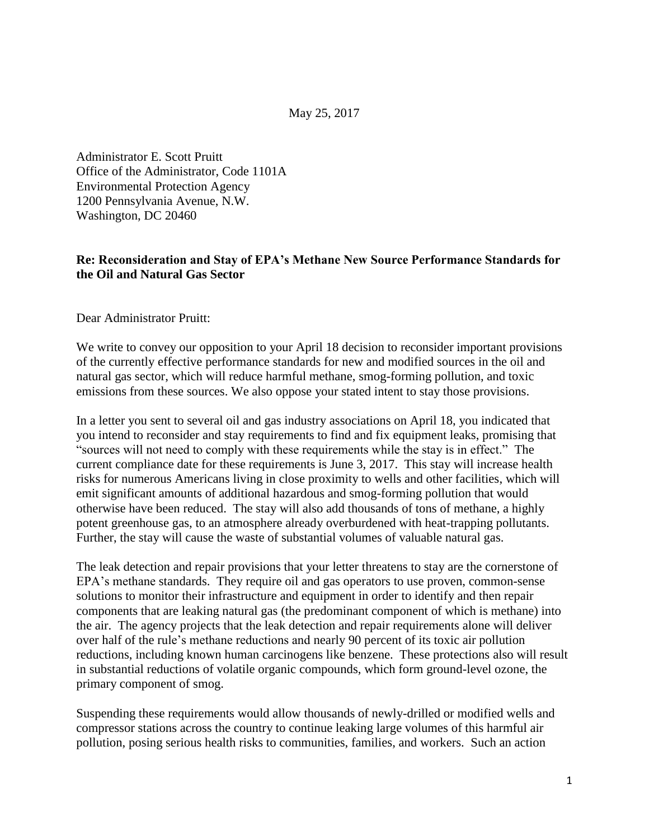May 25, 2017

Administrator E. Scott Pruitt Office of the Administrator, Code 1101A Environmental Protection Agency 1200 Pennsylvania Avenue, N.W. Washington, DC 20460

## **Re: Reconsideration and Stay of EPA's Methane New Source Performance Standards for the Oil and Natural Gas Sector**

Dear Administrator Pruitt:

We write to convey our opposition to your April 18 decision to reconsider important provisions of the currently effective performance standards for new and modified sources in the oil and natural gas sector, which will reduce harmful methane, smog-forming pollution, and toxic emissions from these sources. We also oppose your stated intent to stay those provisions.

In a letter you sent to several oil and gas industry associations on April 18, you indicated that you intend to reconsider and stay requirements to find and fix equipment leaks, promising that "sources will not need to comply with these requirements while the stay is in effect." The current compliance date for these requirements is June 3, 2017. This stay will increase health risks for numerous Americans living in close proximity to wells and other facilities, which will emit significant amounts of additional hazardous and smog-forming pollution that would otherwise have been reduced. The stay will also add thousands of tons of methane, a highly potent greenhouse gas, to an atmosphere already overburdened with heat-trapping pollutants. Further, the stay will cause the waste of substantial volumes of valuable natural gas.

The leak detection and repair provisions that your letter threatens to stay are the cornerstone of EPA's methane standards. They require oil and gas operators to use proven, common-sense solutions to monitor their infrastructure and equipment in order to identify and then repair components that are leaking natural gas (the predominant component of which is methane) into the air. The agency projects that the leak detection and repair requirements alone will deliver over half of the rule's methane reductions and nearly 90 percent of its toxic air pollution reductions, including known human carcinogens like benzene. These protections also will result in substantial reductions of volatile organic compounds, which form ground-level ozone, the primary component of smog.

Suspending these requirements would allow thousands of newly-drilled or modified wells and compressor stations across the country to continue leaking large volumes of this harmful air pollution, posing serious health risks to communities, families, and workers. Such an action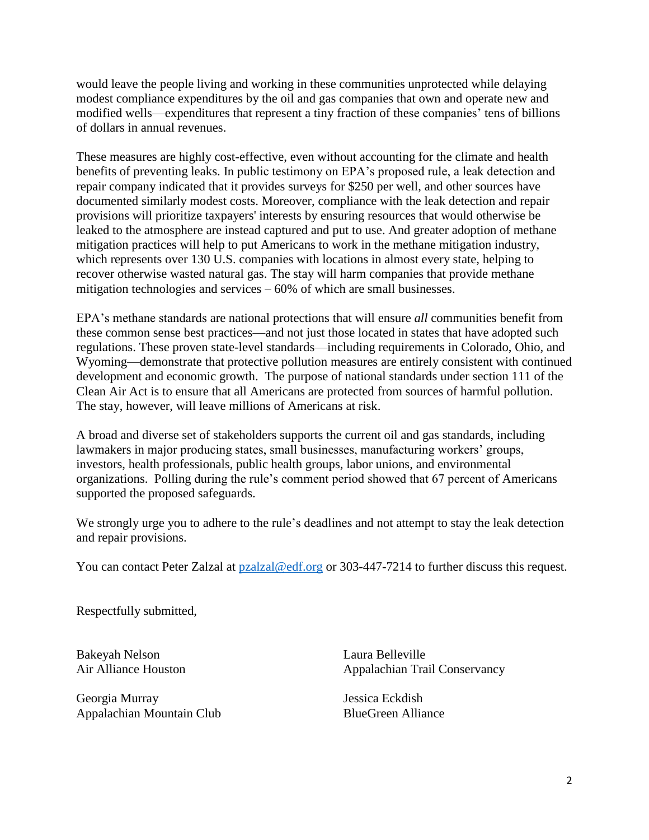would leave the people living and working in these communities unprotected while delaying modest compliance expenditures by the oil and gas companies that own and operate new and modified wells—expenditures that represent a tiny fraction of these companies' tens of billions of dollars in annual revenues.

These measures are highly cost-effective, even without accounting for the climate and health benefits of preventing leaks. In public testimony on EPA's proposed rule, a leak detection and repair company indicated that it provides surveys for \$250 per well, and other sources have documented similarly modest costs. Moreover, compliance with the leak detection and repair provisions will prioritize taxpayers' interests by ensuring resources that would otherwise be leaked to the atmosphere are instead captured and put to use. And greater adoption of methane mitigation practices will help to put Americans to work in the methane mitigation industry, which represents over 130 U.S. companies with locations in almost every state, helping to recover otherwise wasted natural gas. The stay will harm companies that provide methane mitigation technologies and services – 60% of which are small businesses.

EPA's methane standards are national protections that will ensure *all* communities benefit from these common sense best practices—and not just those located in states that have adopted such regulations. These proven state-level standards—including requirements in Colorado, Ohio, and Wyoming—demonstrate that protective pollution measures are entirely consistent with continued development and economic growth. The purpose of national standards under section 111 of the Clean Air Act is to ensure that all Americans are protected from sources of harmful pollution. The stay, however, will leave millions of Americans at risk.

A broad and diverse set of stakeholders supports the current oil and gas standards, including lawmakers in major producing states, small businesses, manufacturing workers' groups, investors, health professionals, public health groups, labor unions, and environmental organizations. Polling during the rule's comment period showed that 67 percent of Americans supported the proposed safeguards.

We strongly urge you to adhere to the rule's deadlines and not attempt to stay the leak detection and repair provisions.

You can contact Peter Zalzal at **pzalzal@edf.org** or 303-447-7214 to further discuss this request.

Respectfully submitted,

Bakeyah Nelson Air Alliance Houston

Georgia Murray Appalachian Mountain Club Laura Belleville Appalachian Trail Conservancy

Jessica Eckdish BlueGreen Alliance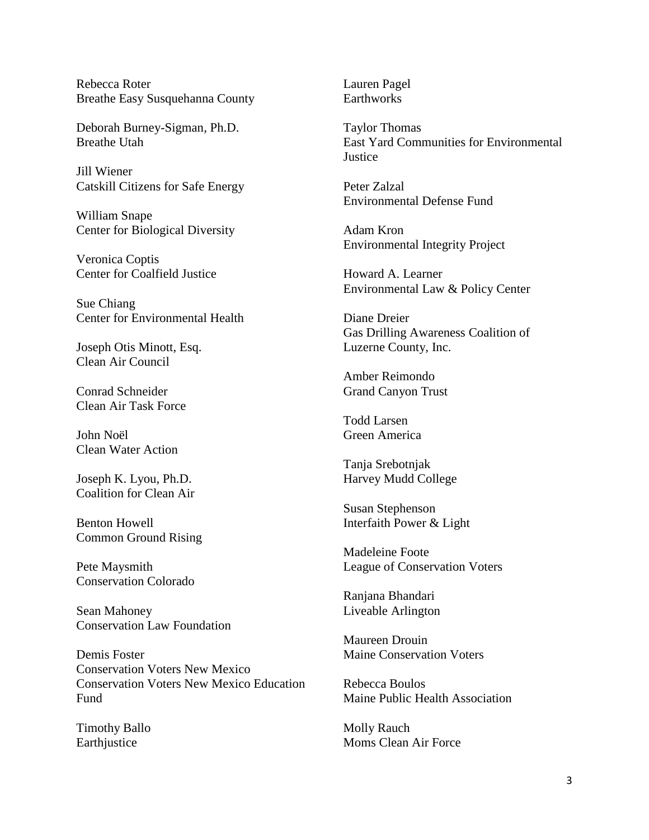Rebecca Roter Breathe Easy Susquehanna County

Deborah Burney-Sigman, Ph.D. Breathe Utah

Jill Wiener Catskill Citizens for Safe Energy

William Snape Center for Biological Diversity

Veronica Coptis Center for Coalfield Justice

Sue Chiang Center for Environmental Health

Joseph Otis Minott, Esq. Clean Air Council

Conrad Schneider Clean Air Task Force

John Noël Clean Water Action

Joseph K. Lyou, Ph.D. Coalition for Clean Air

Benton Howell Common Ground Rising

Pete Maysmith Conservation Colorado

Sean Mahoney Conservation Law Foundation

Demis Foster Conservation Voters New Mexico Conservation Voters New Mexico Education Fund

Timothy Ballo Earthjustice

Lauren Pagel **Earthworks** 

Taylor Thomas East Yard Communities for Environmental **Justice** 

Peter Zalzal Environmental Defense Fund

Adam Kron Environmental Integrity Project

Howard A. Learner Environmental Law & Policy Center

Diane Dreier Gas Drilling Awareness Coalition of Luzerne County, Inc.

Amber Reimondo Grand Canyon Trust

Todd Larsen Green America

Tanja Srebotnjak Harvey Mudd College

Susan Stephenson Interfaith Power & Light

Madeleine Foote League of Conservation Voters

Ranjana Bhandari Liveable Arlington

Maureen Drouin Maine Conservation Voters

Rebecca Boulos Maine Public Health Association

Molly Rauch Moms Clean Air Force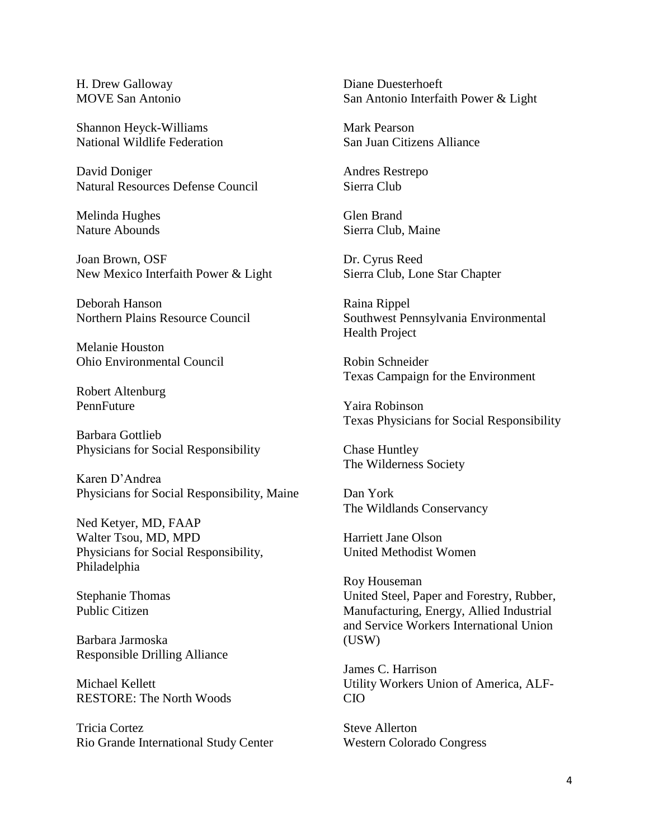H. Drew Galloway MOVE San Antonio

Shannon Heyck-Williams National Wildlife Federation

David Doniger Natural Resources Defense Council

Melinda Hughes Nature Abounds

Joan Brown, OSF New Mexico Interfaith Power & Light

Deborah Hanson Northern Plains Resource Council

Melanie Houston Ohio Environmental Council

Robert Altenburg PennFuture

Barbara Gottlieb Physicians for Social Responsibility

Karen D'Andrea Physicians for Social Responsibility, Maine

Ned Ketyer, MD, FAAP Walter Tsou, MD, MPD Physicians for Social Responsibility, Philadelphia

Stephanie Thomas Public Citizen

Barbara Jarmoska Responsible Drilling Alliance

Michael Kellett RESTORE: The North Woods

Tricia Cortez Rio Grande International Study Center Diane Duesterhoeft San Antonio Interfaith Power & Light

Mark Pearson San Juan Citizens Alliance

Andres Restrepo Sierra Club

Glen Brand Sierra Club, Maine

Dr. Cyrus Reed Sierra Club, Lone Star Chapter

Raina Rippel Southwest Pennsylvania Environmental Health Project

Robin Schneider Texas Campaign for the Environment

Yaira Robinson Texas Physicians for Social Responsibility

Chase Huntley The Wilderness Society

Dan York The Wildlands Conservancy

Harriett Jane Olson United Methodist Women

Roy Houseman United Steel, Paper and Forestry, Rubber, Manufacturing, Energy, Allied Industrial and Service Workers International Union (USW)

James C. Harrison Utility Workers Union of America, ALF-CIO

Steve Allerton Western Colorado Congress